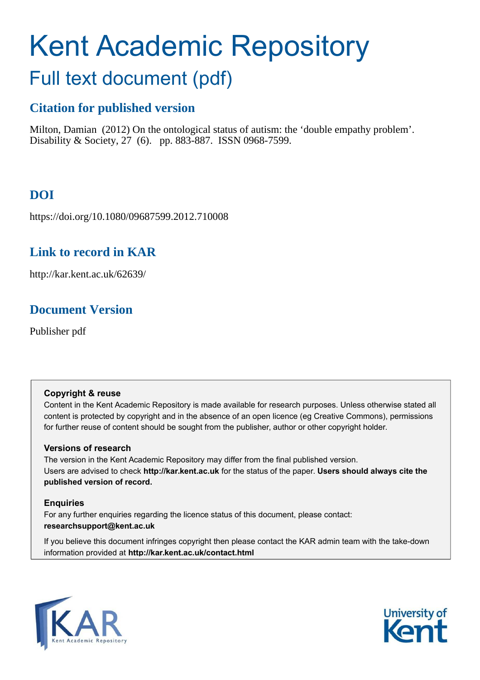# Kent Academic Repository

## Full text document (pdf)

## **Citation for published version**

Milton, Damian (2012) On the ontological status of autism: the 'double empathy problem'. Disability & Society, 27 (6). pp. 883-887. ISSN 0968-7599.

## **DOI**

https://doi.org/10.1080/09687599.2012.710008

## **Link to record in KAR**

http://kar.kent.ac.uk/62639/

### **Document Version**

Publisher pdf

#### **Copyright & reuse**

Content in the Kent Academic Repository is made available for research purposes. Unless otherwise stated all content is protected by copyright and in the absence of an open licence (eg Creative Commons), permissions for further reuse of content should be sought from the publisher, author or other copyright holder.

#### **Versions of research**

The version in the Kent Academic Repository may differ from the final published version. Users are advised to check **http://kar.kent.ac.uk** for the status of the paper. **Users should always cite the published version of record.**

#### **Enquiries**

For any further enquiries regarding the licence status of this document, please contact: **researchsupport@kent.ac.uk**

If you believe this document infringes copyright then please contact the KAR admin team with the take-down information provided at **http://kar.kent.ac.uk/contact.html**



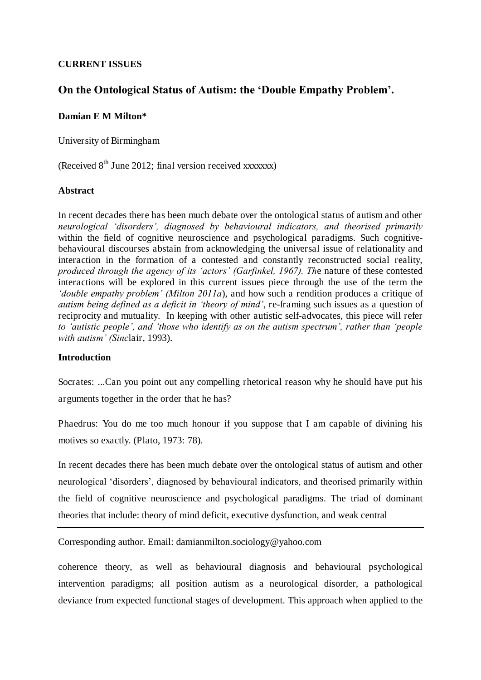#### **CURRENT ISSUES**

#### **On the Ontological Status of Autism: the 'Double Empathy Problem'.**

#### **Damian E M Milton\***

University of Birmingham

(Received  $8<sup>th</sup>$  June 2012; final version received xxxxxxx)

#### **Abstract**

In recent decades there has been much debate over the ontological status of autism and other *neurological 'disorders', diagnosed by behavioural indicators, and theorised primarily* within the field of cognitive neuroscience and psychological paradigms. Such cognitivebehavioural discourses abstain from acknowledging the universal issue of relationality and interaction in the formation of a contested and constantly reconstructed social reality, *produced through the agency of its 'actors' (Garfinkel, 1967). Th*e nature of these contested interactions will be explored in this current issues piece through the use of the term the *'double empathy problem' (Milton 2011a*), and how such a rendition produces a critique of *autism being defined as a deficit in 'theory of mind'*, re-framing such issues as a question of reciprocity and mutuality. In keeping with other autistic self-advocates, this piece will refer *to 'autistic people', and 'those who identify as on the autism spectrum', rather than 'people with autism' (Sinc*lair, 1993).

#### **Introduction**

Socrates: ...Can you point out any compelling rhetorical reason why he should have put his arguments together in the order that he has?

Phaedrus: You do me too much honour if you suppose that I am capable of divining his motives so exactly. (Plato, 1973: 78).

In recent decades there has been much debate over the ontological status of autism and other neurological 'disorders', diagnosed by behavioural indicators, and theorised primarily within the field of cognitive neuroscience and psychological paradigms. The triad of dominant theories that include: theory of mind deficit, executive dysfunction, and weak central

Corresponding author. Email: damianmilton.sociology@yahoo.com

coherence theory, as well as behavioural diagnosis and behavioural psychological intervention paradigms; all position autism as a neurological disorder, a pathological deviance from expected functional stages of development. This approach when applied to the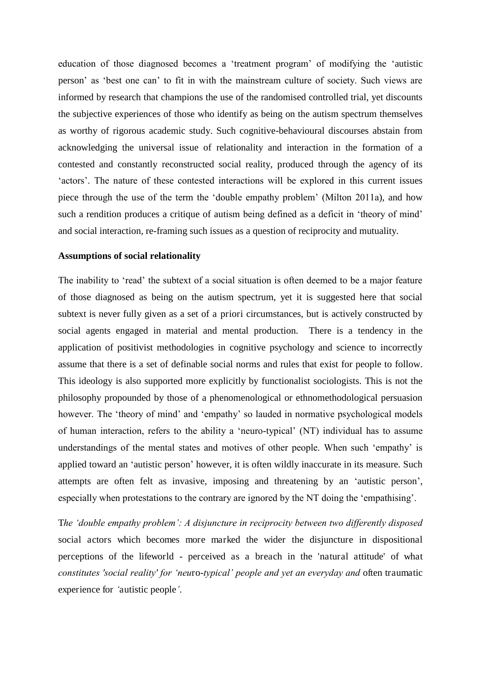education of those diagnosed becomes a 'treatment program' of modifying the 'autistic person' as 'best one can' to fit in with the mainstream culture of society. Such views are informed by research that champions the use of the randomised controlled trial, yet discounts the subjective experiences of those who identify as being on the autism spectrum themselves as worthy of rigorous academic study. Such cognitive-behavioural discourses abstain from acknowledging the universal issue of relationality and interaction in the formation of a contested and constantly reconstructed social reality, produced through the agency of its 'actors'. The nature of these contested interactions will be explored in this current issues piece through the use of the term the 'double empathy problem' (Milton 2011a), and how such a rendition produces a critique of autism being defined as a deficit in 'theory of mind' and social interaction, re-framing such issues as a question of reciprocity and mutuality.

#### **Assumptions of social relationality**

The inability to 'read' the subtext of a social situation is often deemed to be a major feature of those diagnosed as being on the autism spectrum, yet it is suggested here that social subtext is never fully given as a set of a priori circumstances, but is actively constructed by social agents engaged in material and mental production. There is a tendency in the application of positivist methodologies in cognitive psychology and science to incorrectly assume that there is a set of definable social norms and rules that exist for people to follow. This ideology is also supported more explicitly by functionalist sociologists. This is not the philosophy propounded by those of a phenomenological or ethnomethodological persuasion however. The 'theory of mind' and 'empathy' so lauded in normative psychological models of human interaction, refers to the ability a 'neuro-typical' (NT) individual has to assume understandings of the mental states and motives of other people. When such 'empathy' is applied toward an 'autistic person' however, it is often wildly inaccurate in its measure. Such attempts are often felt as invasive, imposing and threatening by an 'autistic person', especially when protestations to the contrary are ignored by the NT doing the 'empathising'.

T*he 'double empathy problem': A disjuncture in reciprocity between two differently disposed*  social actors which becomes more marked the wider the disjuncture in dispositional perceptions of the lifeworld - perceived as a breach in the 'natural attitude' of what *constitutes 'social reality' for 'neu*ro-*typical' people and yet an everyday and* often traumatic experience for *'*autistic people*'*.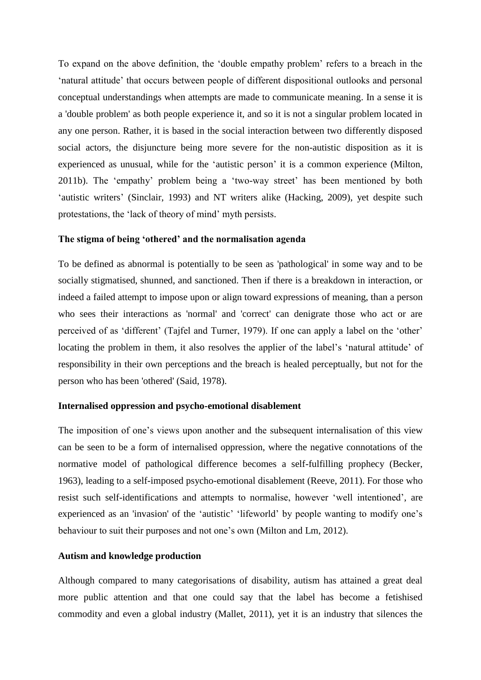To expand on the above definition, the 'double empathy problem' refers to a breach in the 'natural attitude' that occurs between people of different dispositional outlooks and personal conceptual understandings when attempts are made to communicate meaning. In a sense it is a 'double problem' as both people experience it, and so it is not a singular problem located in any one person. Rather, it is based in the social interaction between two differently disposed social actors, the disjuncture being more severe for the non-autistic disposition as it is experienced as unusual, while for the 'autistic person' it is a common experience (Milton, 2011b). The 'empathy' problem being a 'two-way street' has been mentioned by both 'autistic writers' (Sinclair, 1993) and NT writers alike (Hacking, 2009), yet despite such protestations, the 'lack of theory of mind' myth persists.

#### **The stigma of being 'othered' and the normalisation agenda**

To be defined as abnormal is potentially to be seen as 'pathological' in some way and to be socially stigmatised, shunned, and sanctioned. Then if there is a breakdown in interaction, or indeed a failed attempt to impose upon or align toward expressions of meaning, than a person who sees their interactions as 'normal' and 'correct' can denigrate those who act or are perceived of as 'different' (Tajfel and Turner, 1979). If one can apply a label on the 'other' locating the problem in them, it also resolves the applier of the label's 'natural attitude' of responsibility in their own perceptions and the breach is healed perceptually, but not for the person who has been 'othered' (Said, 1978).

#### **Internalised oppression and psycho-emotional disablement**

The imposition of one's views upon another and the subsequent internalisation of this view can be seen to be a form of internalised oppression, where the negative connotations of the normative model of pathological difference becomes a self-fulfilling prophecy (Becker, 1963), leading to a self-imposed psycho-emotional disablement (Reeve, 2011). For those who resist such self-identifications and attempts to normalise, however 'well intentioned', are experienced as an 'invasion' of the 'autistic' 'lifeworld' by people wanting to modify one's behaviour to suit their purposes and not one's own (Milton and Lm, 2012).

#### **Autism and knowledge production**

Although compared to many categorisations of disability, autism has attained a great deal more public attention and that one could say that the label has become a fetishised commodity and even a global industry (Mallet, 2011), yet it is an industry that silences the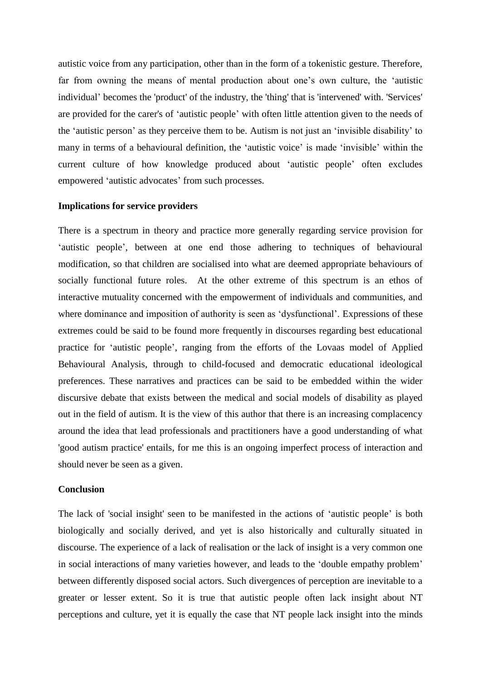autistic voice from any participation, other than in the form of a tokenistic gesture. Therefore, far from owning the means of mental production about one's own culture, the 'autistic individual' becomes the 'product' of the industry, the 'thing' that is 'intervened' with. 'Services' are provided for the carer's of 'autistic people' with often little attention given to the needs of the 'autistic person' as they perceive them to be. Autism is not just an 'invisible disability' to many in terms of a behavioural definition, the 'autistic voice' is made 'invisible' within the current culture of how knowledge produced about 'autistic people' often excludes empowered 'autistic advocates' from such processes.

#### **Implications for service providers**

There is a spectrum in theory and practice more generally regarding service provision for 'autistic people', between at one end those adhering to techniques of behavioural modification, so that children are socialised into what are deemed appropriate behaviours of socially functional future roles. At the other extreme of this spectrum is an ethos of interactive mutuality concerned with the empowerment of individuals and communities, and where dominance and imposition of authority is seen as 'dysfunctional'. Expressions of these extremes could be said to be found more frequently in discourses regarding best educational practice for 'autistic people', ranging from the efforts of the Lovaas model of Applied Behavioural Analysis, through to child-focused and democratic educational ideological preferences. These narratives and practices can be said to be embedded within the wider discursive debate that exists between the medical and social models of disability as played out in the field of autism. It is the view of this author that there is an increasing complacency around the idea that lead professionals and practitioners have a good understanding of what 'good autism practice' entails, for me this is an ongoing imperfect process of interaction and should never be seen as a given.

#### **Conclusion**

The lack of 'social insight' seen to be manifested in the actions of 'autistic people' is both biologically and socially derived, and yet is also historically and culturally situated in discourse. The experience of a lack of realisation or the lack of insight is a very common one in social interactions of many varieties however, and leads to the 'double empathy problem' between differently disposed social actors. Such divergences of perception are inevitable to a greater or lesser extent. So it is true that autistic people often lack insight about NT perceptions and culture, yet it is equally the case that NT people lack insight into the minds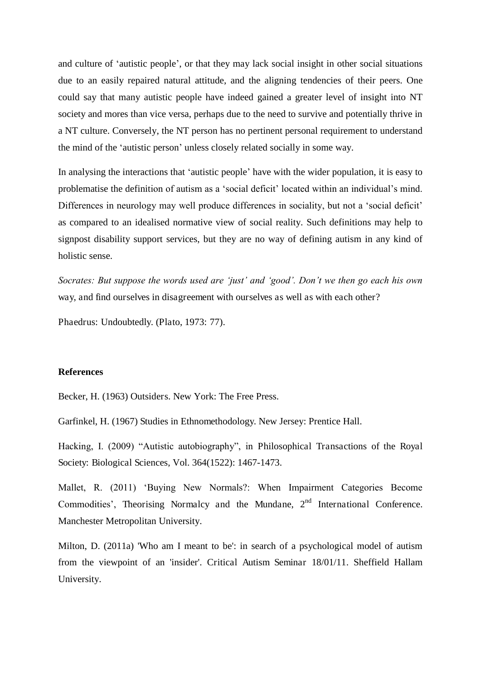and culture of 'autistic people', or that they may lack social insight in other social situations due to an easily repaired natural attitude, and the aligning tendencies of their peers. One could say that many autistic people have indeed gained a greater level of insight into NT society and mores than vice versa, perhaps due to the need to survive and potentially thrive in a NT culture. Conversely, the NT person has no pertinent personal requirement to understand the mind of the 'autistic person' unless closely related socially in some way.

In analysing the interactions that 'autistic people' have with the wider population, it is easy to problematise the definition of autism as a 'social deficit' located within an individual's mind. Differences in neurology may well produce differences in sociality, but not a 'social deficit' as compared to an idealised normative view of social reality. Such definitions may help to signpost disability support services, but they are no way of defining autism in any kind of holistic sense.

*Socrates: But suppose the words used are 'just' and 'good'. Don't we then go each his own*  way, and find ourselves in disagreement with ourselves as well as with each other?

Phaedrus: Undoubtedly. (Plato, 1973: 77).

#### **References**

Becker, H. (1963) Outsiders. New York: The Free Press.

Garfinkel, H. (1967) Studies in Ethnomethodology. New Jersey: Prentice Hall.

Hacking, I. (2009) "Autistic autobiography", in Philosophical Transactions of the Royal Society: Biological Sciences, Vol. 364(1522): 1467-1473.

Mallet, R. (2011) 'Buying New Normals?: When Impairment Categories Become Commodities', Theorising Normalcy and the Mundane, 2<sup>nd</sup> International Conference. Manchester Metropolitan University.

Milton, D. (2011a) 'Who am I meant to be': in search of a psychological model of autism from the viewpoint of an 'insider'. Critical Autism Seminar 18/01/11. Sheffield Hallam University.